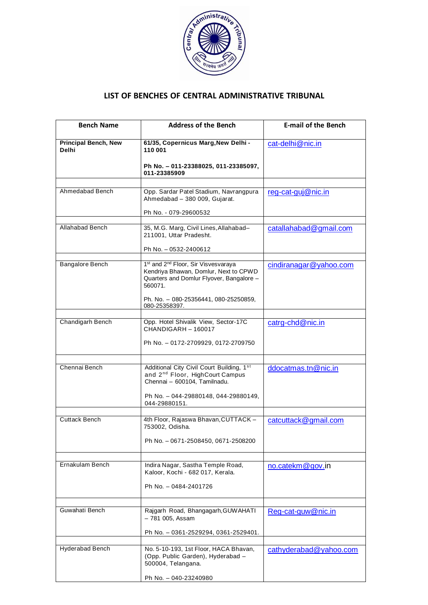

## **LIST OF BENCHES OF CENTRAL ADMINISTRATIVE TRIBUNAL**

| <b>Bench Name</b>                    | <b>Address of the Bench</b>                                                                                                                                 | <b>E-mail of the Bench</b> |
|--------------------------------------|-------------------------------------------------------------------------------------------------------------------------------------------------------------|----------------------------|
| <b>Principal Bench, New</b><br>Delhi | 61/35, Copernicus Marg, New Delhi -<br>110 001                                                                                                              | cat-delhi@nic.in           |
|                                      | Ph No. - 011-23388025, 011-23385097,<br>011-23385909                                                                                                        |                            |
| Ahmedabad Bench                      | Opp. Sardar Patel Stadium, Navrangpura<br>Ahmedabad - 380 009, Gujarat.                                                                                     | reg-cat-guj@nic.in         |
|                                      | Ph No. - 079-29600532                                                                                                                                       |                            |
| Allahabad Bench                      | 35, M.G. Marg, Civil Lines, Allahabad-<br>211001, Uttar Pradesht.                                                                                           | catallahabad@gmail.com     |
|                                      | Ph No. - 0532-2400612                                                                                                                                       |                            |
| <b>Bangalore Bench</b>               | 1 <sup>st</sup> and 2 <sup>nd</sup> Floor, Sir Visvesvaraya<br>Kendriya Bhawan, Domlur, Next to CPWD<br>Quarters and Domlur Flyover, Bangalore -<br>560071. | cindiranagar@yahoo.com     |
|                                      | Ph. No. - 080-25356441, 080-25250859,<br>080-25358397.                                                                                                      |                            |
| Chandigarh Bench                     | Opp. Hotel Shivalik View, Sector-17C<br>CHANDIGARH - 160017                                                                                                 | catrg-chd@nic.in           |
|                                      | Ph No. - 0172-2709929, 0172-2709750                                                                                                                         |                            |
| Chennai Bench                        | Additional City Civil Court Building, 1st<br>and 2 <sup>nd</sup> Floor, HighCourt Campus<br>Chennai - 600104, Tamilnadu.                                    | ddocatmas.tn@nic.in        |
|                                      | Ph No. - 044-29880148, 044-29880149,<br>044-29880151.                                                                                                       |                            |
| Cuttack Bench                        | 4th Floor, Rajaswa Bhavan, CUTTACK -<br>753002. Odisha.                                                                                                     | catcuttack@gmail.com       |
|                                      | Ph No. - 0671-2508450, 0671-2508200                                                                                                                         |                            |
| Ernakulam Bench                      | Indira Nagar, Sastha Temple Road,<br>Kaloor, Kochi - 682 017, Kerala.                                                                                       | no.catekm@gov.in           |
|                                      | Ph No. - 0484-2401726                                                                                                                                       |                            |
|                                      |                                                                                                                                                             |                            |
| Guwahati Bench                       | Rajgarh Road, Bhangagarh, GUWAHATI<br>- 781 005, Assam                                                                                                      | Reg-cat-guw@nic.in         |
|                                      | Ph No. - 0361-2529294, 0361-2529401.                                                                                                                        |                            |
| <b>Hyderabad Bench</b>               | No. 5-10-193, 1st Floor, HACA Bhavan,<br>(Opp. Public Garden), Hyderabad -<br>500004, Telangana.                                                            | cathyderabad@yahoo.com     |
|                                      | Ph No. - 040-23240980                                                                                                                                       |                            |